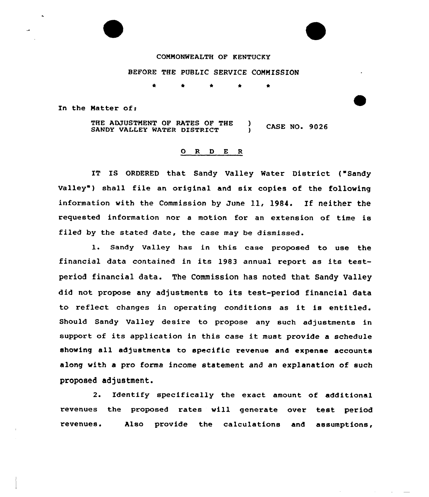## COMMONWEALTH OF KENTUCKY

## BEFORE THE PUBLIC SERVICE COMMISSION

 $\bullet$ 

In the Matter of:

THE ADJUSTMENT OF RATES OF THE ) CASE NO. 9026 SANDY VALLEY WATER DISTRICT

## 0 R <sup>D</sup> E R

IT IS ORDERED that Sandy Valley Water District ("Sandy Valley") shall file an original and six copies of the following information with the Commission by June 11, 1984. If neither the requested information nor a motion for an extension of time is filed by the stated date, the case may be dismissed.

l. Sandy Valley has in this case proposed to use the financial data contained in its 1983 annual report as its testperiod financial data. The Commission has noted that Sandy Valley did not propose any adjustments to its test-period financial data to reflect changes in operating conditions as it is entitled. Should Sandy Valley desire to propose any such adjustments in support of its application in this case it must provide <sup>a</sup> schedule showing all adjustments to specific revenue and expense accounts along with a pro forma income statement and an explanation of such proposed adjustment.

2. Identify specifically the exact amount of additional revenues the proposed rates will generate over test period revenues. Also provide the calculations and assumptions,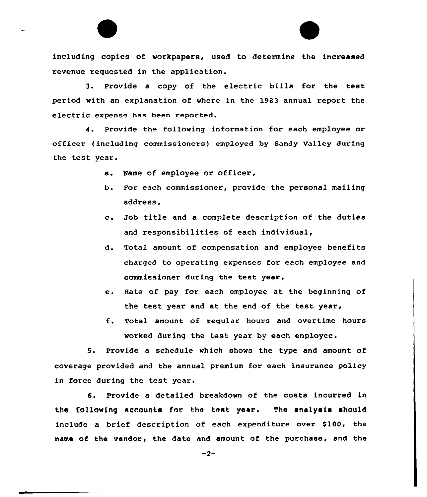including copies of workpapers, used to determine the increased revenue requested in the application.

3. Provide <sup>a</sup> copy of the electric bills for the test period with an explanation of where in the 1983 annual report the electric expense has been reported.

4. Provide the following information for each employee or officer (including commissioners) employed by Sandy Valley during the test year.

- a. Name of employee or officer,
- b. For each commissioner, provide the personal mailing address.
- c. Job title and <sup>a</sup> complete description of the duties and responsibilities of each individual,
- đ. Total amount of compensation and employee benefits charged to operating expenses for each employee and commissioner during the test year,
- e. Rate of pay for each employee at the beginning of the test year and at the end of the test year,
- f. Total amount of regular hours and overtime hours worked during the test year by each employee.

5. Provide a schedule which shows the type and amount of coverage provided and the annual premium for each insurance policy in force during the test year.

6. Provide a detailed breakdown of the costs incurred in the following accounts for the test year. The analysis should include a brief description of each expenditure over \$100, the name of the vendor, the date and amount of the purchase, and the

 $-2-$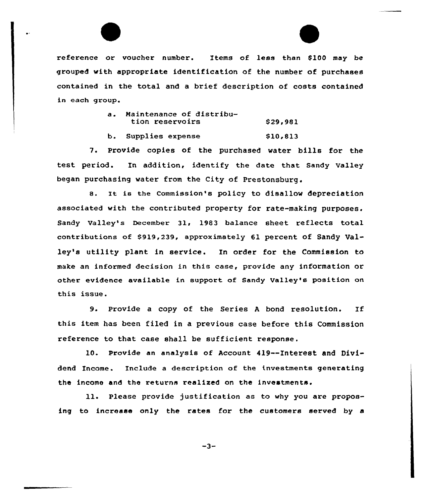reference or voucher number. Items of less than \$100 may be grouped with appropriate identification of the number of purchases contained in the total and a brief description of costs contained in each group.

| $\mathbf{a}$ . | Maintenance of distribu-<br>tion reservoirs | \$29,981 |
|----------------|---------------------------------------------|----------|
|                | b. Supplies expense                         | \$10,813 |

7. Provide copies of the purchased water bills for the test period. In addition, identify the date that sandy valley began purchasing water from the City of Prestonsburg.

8. It is the Commission's policy to disallow depreciation associated with the contributed property for rate-making purposes. Sandy Valley's December 31, 1983 balance sheet reflects total contributions of 8919,239, approximately 61 percent of Sandy Ualley's utility plant in service. In order for the Commission to make an informed decision in this case, provide any information or other evidence available in support of Sandy Valley's position on this issue.

9. Provide <sup>a</sup> copy of the Seriea <sup>A</sup> bond resolution. If this item haa been filed in a previous case before this Commission reference to that case shall be sufficient response.

10. Provide an analysis of Account 419--Interest and Dividend Income. Include a description of the investments generating the income and the returns realized on the investments.

ll. Please provide justification as to why you are proposing to increase only the rates for the customers served by a

 $-3-$